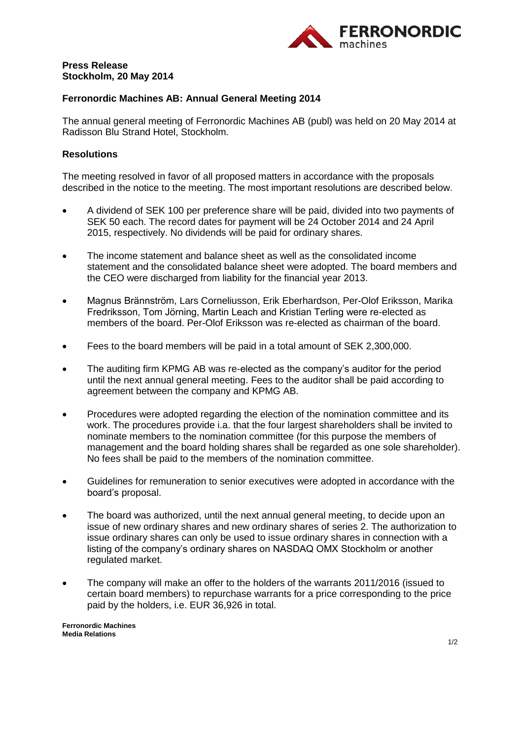

## **Press Release Stockholm, 20 May 2014**

# **Ferronordic Machines AB: Annual General Meeting 2014**

The annual general meeting of Ferronordic Machines AB (publ) was held on 20 May 2014 at Radisson Blu Strand Hotel, Stockholm.

### **Resolutions**

The meeting resolved in favor of all proposed matters in accordance with the proposals described in the notice to the meeting. The most important resolutions are described below.

- A dividend of SEK 100 per preference share will be paid, divided into two payments of SEK 50 each. The record dates for payment will be 24 October 2014 and 24 April 2015, respectively. No dividends will be paid for ordinary shares.
- The income statement and balance sheet as well as the consolidated income statement and the consolidated balance sheet were adopted. The board members and the CEO were discharged from liability for the financial year 2013.
- Magnus Brännström, Lars Corneliusson, Erik Eberhardson, Per-Olof Eriksson, Marika Fredriksson, Tom Jörning, Martin Leach and Kristian Terling were re-elected as members of the board. Per-Olof Eriksson was re-elected as chairman of the board.
- Fees to the board members will be paid in a total amount of SEK 2,300,000.
- The auditing firm KPMG AB was re-elected as the company's auditor for the period until the next annual general meeting. Fees to the auditor shall be paid according to agreement between the company and KPMG AB.
- Procedures were adopted regarding the election of the nomination committee and its work. The procedures provide i.a. that the four largest shareholders shall be invited to nominate members to the nomination committee (for this purpose the members of management and the board holding shares shall be regarded as one sole shareholder). No fees shall be paid to the members of the nomination committee.
- Guidelines for remuneration to senior executives were adopted in accordance with the board's proposal.
- The board was authorized, until the next annual general meeting, to decide upon an issue of new ordinary shares and new ordinary shares of series 2. The authorization to issue ordinary shares can only be used to issue ordinary shares in connection with a listing of the company's ordinary shares on NASDAQ OMX Stockholm or another regulated market.
- The company will make an offer to the holders of the warrants 2011/2016 (issued to certain board members) to repurchase warrants for a price corresponding to the price paid by the holders, i.e. EUR 36,926 in total.

**Ferronordic Machines Media Relations**